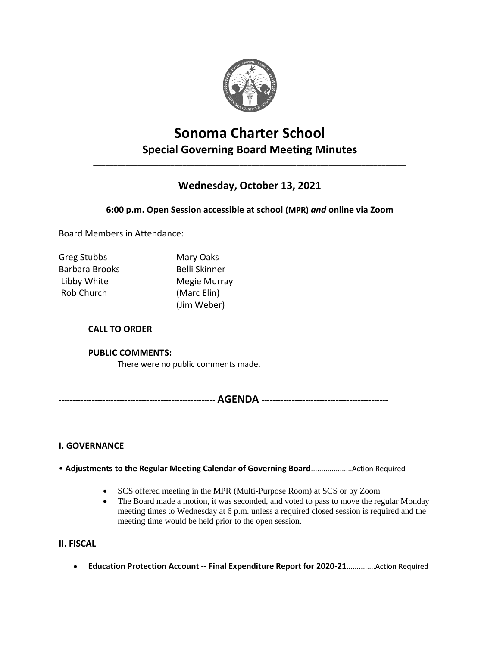

# **Sonoma Charter School Special Governing Board Meeting Minutes**

\_\_\_\_\_\_\_\_\_\_\_\_\_\_\_\_\_\_\_\_\_\_\_\_\_\_\_\_\_\_\_\_\_\_\_\_\_\_\_\_\_\_\_\_\_\_\_\_\_\_\_\_\_\_\_\_\_\_\_\_\_\_\_\_\_\_\_\_\_\_\_\_\_\_\_\_\_

## **Wednesday, October 13, 2021**

**6:00 p.m. Open Session accessible at school (MPR)** *and* **online via Zoom**

Board Members in Attendance:

| Greg Stubbs           | Mary Oaks            |
|-----------------------|----------------------|
| <b>Barbara Brooks</b> | <b>Belli Skinner</b> |
| Libby White           | Megie Murray         |
| Rob Church            | (Marc Elin)          |
|                       | (Jim Weber)          |

### **CALL TO ORDER**

#### **PUBLIC COMMENTS:**

There were no public comments made.

**--------------------------------------------------------- AGENDA ----------------------------------------------**

#### **I. GOVERNANCE**

#### • **Adjustments to the Regular Meeting Calendar of Governing Board**....................Action Required

- SCS offered meeting in the MPR (Multi-Purpose Room) at SCS or by Zoom
- The Board made a motion, it was seconded, and voted to pass to move the regular Monday meeting times to Wednesday at 6 p.m. unless a required closed session is required and the meeting time would be held prior to the open session.

#### **II. FISCAL**

**Education Protection Account -- Final Expenditure Report for 2020-21**..............Action Required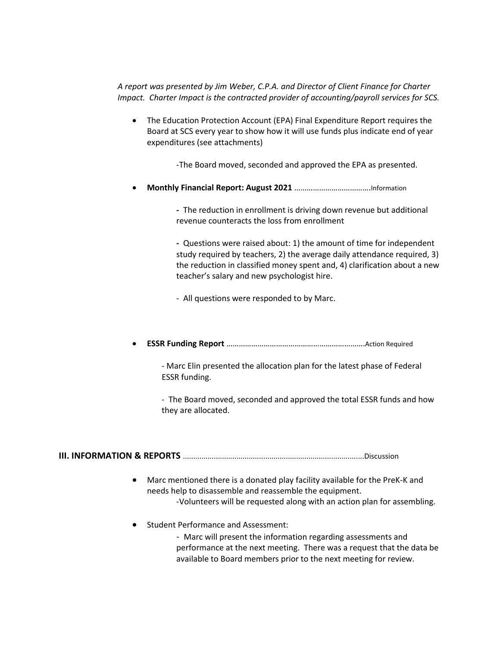*A report was presented by Jim Weber, C.P.A. and Director of Client Finance for Charter Impact. Charter Impact is the contracted provider of accounting/payroll services for SCS.*

 The Education Protection Account (EPA) Final Expenditure Report requires the Board at SCS every year to show how it will use funds plus indicate end of year expenditures (see attachments)

-The Board moved, seconded and approved the EPA as presented.

**Monthly Financial Report: August 2021** ……………………………….Information

**-** The reduction in enrollment is driving down revenue but additional revenue counteracts the loss from enrollment

**-** Questions were raised about: 1) the amount of time for independent study required by teachers, 2) the average daily attendance required, 3) the reduction in classified money spent and, 4) clarification about a new teacher's salary and new psychologist hire.

- All questions were responded to by Marc.

**ESSR Funding Report** ………………………………………………………….Action Required

- Marc Elin presented the allocation plan for the latest phase of Federal ESSR funding.

- The Board moved, seconded and approved the total ESSR funds and how they are allocated.

**III. INFORMATION & REPORTS** ........................................................................................Discussion

- Marc mentioned there is a donated play facility available for the PreK-K and needs help to disassemble and reassemble the equipment. -Volunteers will be requested along with an action plan for assembling.
- Student Performance and Assessment:
	- Marc will present the information regarding assessments and performance at the next meeting. There was a request that the data be available to Board members prior to the next meeting for review.